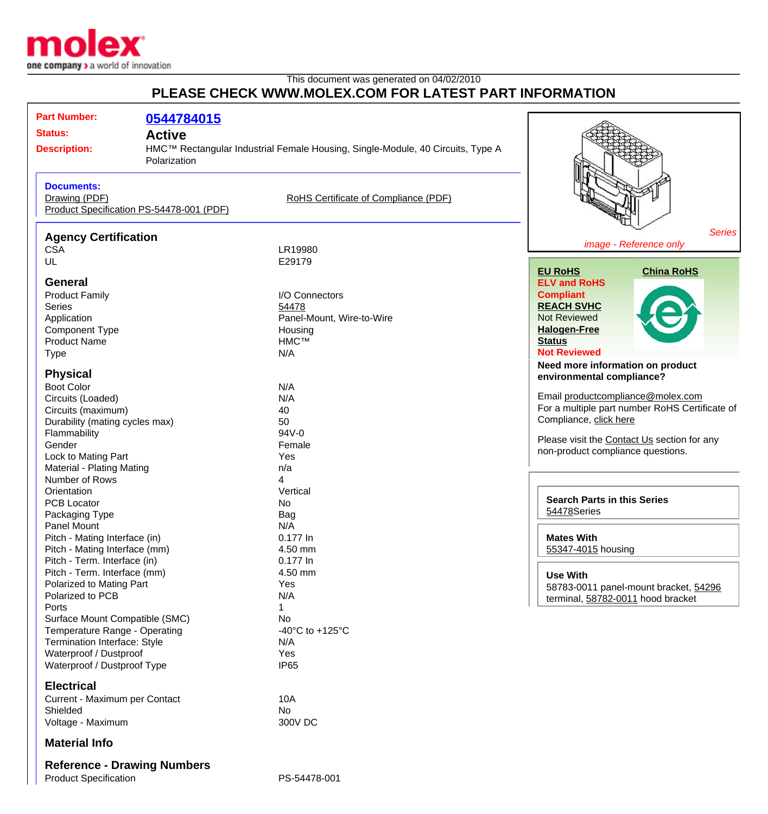

## This document was generated on 04/02/2010 **PLEASE CHECK WWW.MOLEX.COM FOR LATEST PART INFORMATION**

| <b>Part Number:</b><br><b>Status:</b><br><b>Description:</b>                   | 0544784015<br><b>Active</b> | HMC <sup>™</sup> Rectangular Industrial Female Housing, Single-Module, 40 Circuits, Type A |                                                |  |  |  |
|--------------------------------------------------------------------------------|-----------------------------|--------------------------------------------------------------------------------------------|------------------------------------------------|--|--|--|
|                                                                                | Polarization                |                                                                                            |                                                |  |  |  |
| <b>Documents:</b><br>Drawing (PDF)<br>Product Specification PS-54478-001 (PDF) |                             | RoHS Certificate of Compliance (PDF)                                                       |                                                |  |  |  |
| <b>Agency Certification</b>                                                    |                             |                                                                                            | <b>Series</b>                                  |  |  |  |
| <b>CSA</b>                                                                     |                             | LR19980                                                                                    | image - Reference only                         |  |  |  |
| UL                                                                             |                             | E29179                                                                                     |                                                |  |  |  |
|                                                                                |                             |                                                                                            | <b>EU RoHS</b><br><b>China RoHS</b>            |  |  |  |
| <b>General</b>                                                                 |                             |                                                                                            | <b>ELV and RoHS</b>                            |  |  |  |
| <b>Product Family</b>                                                          |                             | I/O Connectors                                                                             | <b>Compliant</b>                               |  |  |  |
| <b>Series</b>                                                                  |                             | 54478                                                                                      | <b>REACH SVHC</b>                              |  |  |  |
| Application                                                                    |                             | Panel-Mount, Wire-to-Wire                                                                  | <b>Not Reviewed</b>                            |  |  |  |
| <b>Component Type</b>                                                          |                             | Housing                                                                                    | <b>Halogen-Free</b>                            |  |  |  |
| <b>Product Name</b>                                                            |                             | <b>HMC™</b>                                                                                | <b>Status</b>                                  |  |  |  |
| Type                                                                           |                             | N/A                                                                                        | <b>Not Reviewed</b>                            |  |  |  |
|                                                                                |                             |                                                                                            | Need more information on product               |  |  |  |
| <b>Physical</b>                                                                |                             |                                                                                            | environmental compliance?                      |  |  |  |
| <b>Boot Color</b>                                                              |                             | N/A                                                                                        |                                                |  |  |  |
| Circuits (Loaded)                                                              |                             | N/A                                                                                        | Email productcompliance@molex.com              |  |  |  |
| Circuits (maximum)                                                             |                             | 40                                                                                         | For a multiple part number RoHS Certificate of |  |  |  |
| Durability (mating cycles max)                                                 |                             | 50                                                                                         | Compliance, click here                         |  |  |  |
| Flammability                                                                   |                             | 94V-0                                                                                      | Please visit the Contact Us section for any    |  |  |  |
| Gender                                                                         |                             | Female                                                                                     | non-product compliance questions.              |  |  |  |
| Lock to Mating Part                                                            |                             | Yes                                                                                        |                                                |  |  |  |
| Material - Plating Mating                                                      |                             | n/a                                                                                        |                                                |  |  |  |
| Number of Rows<br>Orientation                                                  |                             | 4<br>Vertical                                                                              |                                                |  |  |  |
| <b>PCB Locator</b>                                                             |                             | No                                                                                         | <b>Search Parts in this Series</b>             |  |  |  |
|                                                                                |                             | Bag                                                                                        | 54478Series                                    |  |  |  |
| Packaging Type<br>Panel Mount                                                  |                             | N/A                                                                                        |                                                |  |  |  |
| Pitch - Mating Interface (in)                                                  |                             | 0.177 In                                                                                   | <b>Mates With</b>                              |  |  |  |
| Pitch - Mating Interface (mm)                                                  |                             | 4.50 mm                                                                                    | 55347-4015 housing                             |  |  |  |
| Pitch - Term. Interface (in)                                                   |                             | 0.177 In                                                                                   |                                                |  |  |  |
| Pitch - Term. Interface (mm)                                                   |                             | 4.50 mm                                                                                    | <b>Use With</b>                                |  |  |  |
| Polarized to Mating Part                                                       |                             | Yes                                                                                        | 58783-0011 panel-mount bracket, 54296          |  |  |  |
| Polarized to PCB                                                               |                             | N/A                                                                                        | terminal, 58782-0011 hood bracket              |  |  |  |
| Ports                                                                          |                             | 1                                                                                          |                                                |  |  |  |
| Surface Mount Compatible (SMC)                                                 |                             | No                                                                                         |                                                |  |  |  |
| Temperature Range - Operating                                                  |                             | -40 $^{\circ}$ C to +125 $^{\circ}$ C                                                      |                                                |  |  |  |
| Termination Interface: Style                                                   |                             | N/A                                                                                        |                                                |  |  |  |
| Waterproof / Dustproof                                                         |                             | Yes                                                                                        |                                                |  |  |  |
| Waterproof / Dustproof Type                                                    |                             | IP <sub>65</sub>                                                                           |                                                |  |  |  |
| <b>Electrical</b>                                                              |                             |                                                                                            |                                                |  |  |  |
| Current - Maximum per Contact                                                  |                             | <b>10A</b>                                                                                 |                                                |  |  |  |
| Shielded                                                                       |                             | No                                                                                         |                                                |  |  |  |
| Voltage - Maximum                                                              |                             | 300V DC                                                                                    |                                                |  |  |  |
| <b>Material Info</b>                                                           |                             |                                                                                            |                                                |  |  |  |
| <b>Reference - Drawing Numbers</b>                                             |                             |                                                                                            |                                                |  |  |  |
| <b>Product Specification</b>                                                   |                             | PS-54478-001                                                                               |                                                |  |  |  |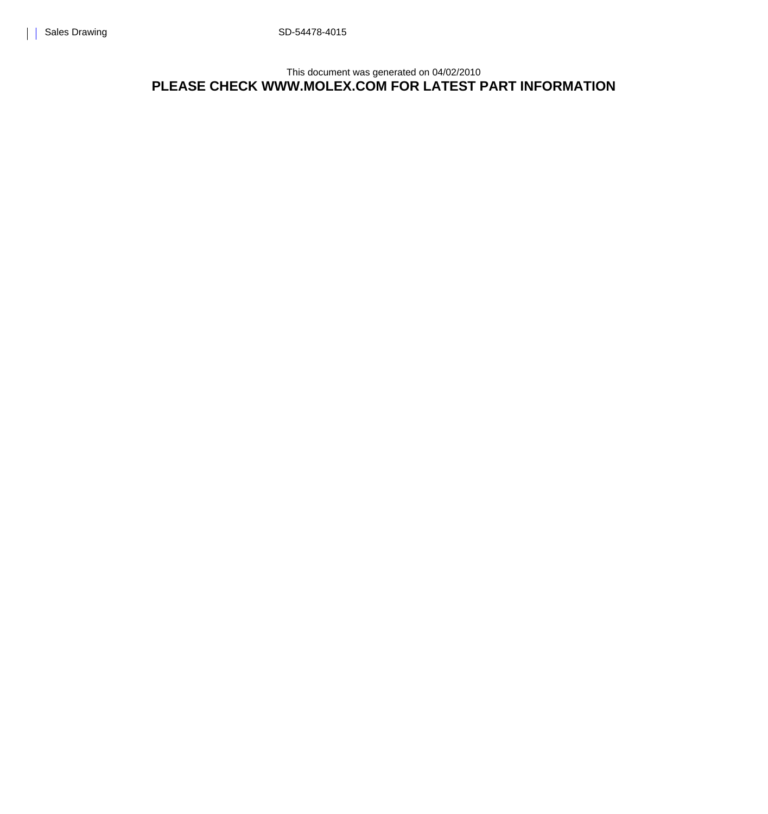This document was generated on 04/02/2010 **PLEASE CHECK WWW.MOLEX.COM FOR LATEST PART INFORMATION**